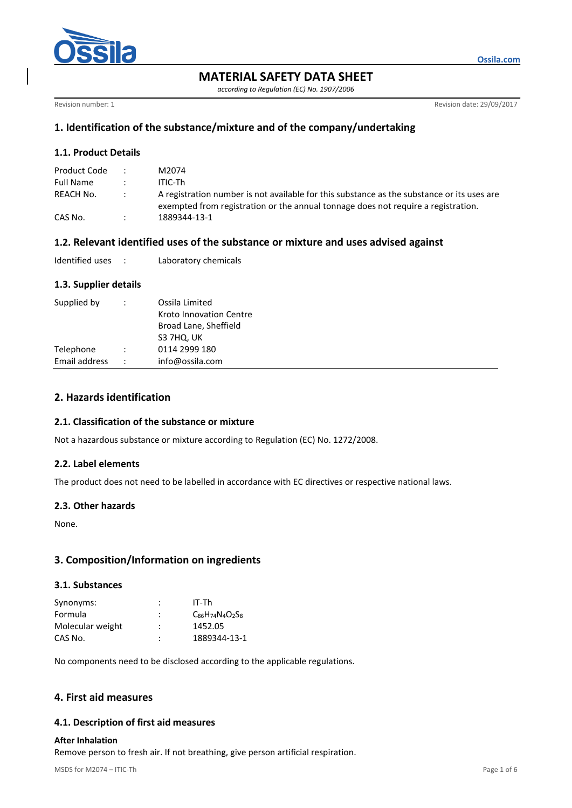

**MATERIAL SAFETY DATA SHEET**

*according to Regulation (EC) No. 1907/2006*

Revision number: 1 Revision date: 29/09/2017

**Ossila.com**

# **1. Identification of the substance/mixture and of the company/undertaking**

# **1.1. Product Details**

| Product Code |               | M2074                                                                                                                                                                           |
|--------------|---------------|---------------------------------------------------------------------------------------------------------------------------------------------------------------------------------|
| Full Name    |               | ITIC-Th                                                                                                                                                                         |
| REACH No.    | $\mathcal{L}$ | A registration number is not available for this substance as the substance or its uses are<br>exempted from registration or the annual tonnage does not require a registration. |
| CAS No.      |               | 1889344-13-1                                                                                                                                                                    |

# **1.2. Relevant identified uses of the substance or mixture and uses advised against**

| Identified uses |  | Laboratory chemicals |
|-----------------|--|----------------------|
|-----------------|--|----------------------|

## **1.3. Supplier details**

| Supplied by   |                      | Ossila Limited<br>Kroto Innovation Centre<br>Broad Lane, Sheffield<br>S3 7HQ, UK |
|---------------|----------------------|----------------------------------------------------------------------------------|
| Telephone     |                      | 0114 2999 180                                                                    |
| Email address | $\ddot{\phantom{0}}$ | info@ossila.com                                                                  |

# **2. Hazards identification**

## **2.1. Classification of the substance or mixture**

Not a hazardous substance or mixture according to Regulation (EC) No. 1272/2008.

## **2.2. Label elements**

The product does not need to be labelled in accordance with EC directives or respective national laws.

## **2.3. Other hazards**

None.

# **3. Composition/Information on ingredients**

#### **3.1. Substances**

| Synonyms:        | ٠<br>÷         | IT-Th                         |
|------------------|----------------|-------------------------------|
| Formula          | $\ddot{\cdot}$ | $C_{86}H_{74}N_{4}O_{2}S_{8}$ |
| Molecular weight | :              | 1452.05                       |
| CAS No.          | :              | 1889344-13-1                  |

No components need to be disclosed according to the applicable regulations.

# **4. First aid measures**

## **4.1. Description of first aid measures**

#### **After Inhalation**

Remove person to fresh air. If not breathing, give person artificial respiration.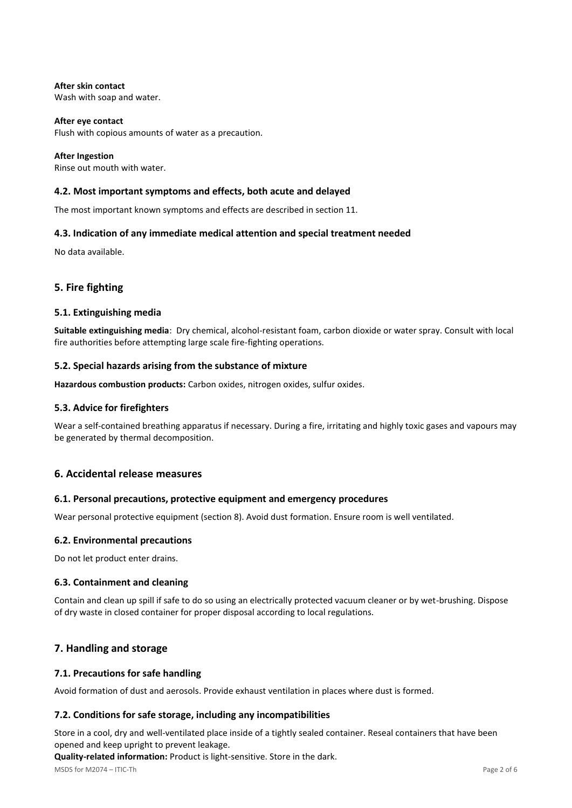**After skin contact** Wash with soap and water.

**After eye contact** Flush with copious amounts of water as a precaution.

**After Ingestion** Rinse out mouth with water.

## **4.2. Most important symptoms and effects, both acute and delayed**

The most important known symptoms and effects are described in section 11.

## **4.3. Indication of any immediate medical attention and special treatment needed**

No data available.

# **5. Fire fighting**

#### **5.1. Extinguishing media**

**Suitable extinguishing media**: Dry chemical, alcohol-resistant foam, carbon dioxide or water spray. Consult with local fire authorities before attempting large scale fire-fighting operations.

## **5.2. Special hazards arising from the substance of mixture**

**Hazardous combustion products:** Carbon oxides, nitrogen oxides, sulfur oxides.

## **5.3. Advice for firefighters**

Wear a self-contained breathing apparatus if necessary. During a fire, irritating and highly toxic gases and vapours may be generated by thermal decomposition.

## **6. Accidental release measures**

## **6.1. Personal precautions, protective equipment and emergency procedures**

Wear personal protective equipment (section 8). Avoid dust formation. Ensure room is well ventilated.

#### **6.2. Environmental precautions**

Do not let product enter drains.

## **6.3. Containment and cleaning**

Contain and clean up spill if safe to do so using an electrically protected vacuum cleaner or by wet-brushing. Dispose of dry waste in closed container for proper disposal according to local regulations.

# **7. Handling and storage**

## **7.1. Precautions for safe handling**

Avoid formation of dust and aerosols. Provide exhaust ventilation in places where dust is formed.

## **7.2. Conditions for safe storage, including any incompatibilities**

Store in a cool, dry and well-ventilated place inside of a tightly sealed container. Reseal containers that have been opened and keep upright to prevent leakage.

**Quality-related information:** Product is light-sensitive. Store in the dark.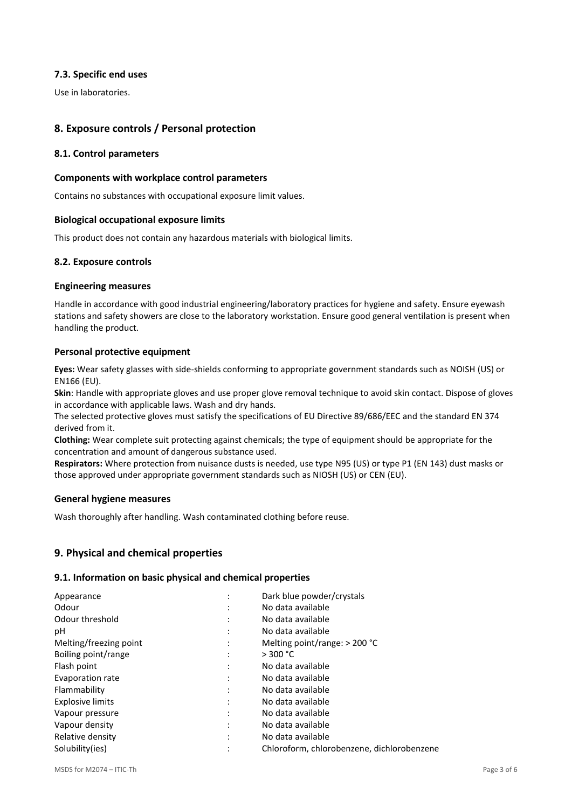## **7.3. Specific end uses**

Use in laboratories.

# **8. Exposure controls / Personal protection**

## **8.1. Control parameters**

## **Components with workplace control parameters**

Contains no substances with occupational exposure limit values.

## **Biological occupational exposure limits**

This product does not contain any hazardous materials with biological limits.

## **8.2. Exposure controls**

## **Engineering measures**

Handle in accordance with good industrial engineering/laboratory practices for hygiene and safety. Ensure eyewash stations and safety showers are close to the laboratory workstation. Ensure good general ventilation is present when handling the product.

## **Personal protective equipment**

**Eyes:** Wear safety glasses with side-shields conforming to appropriate government standards such as NOISH (US) or EN166 (EU).

**Skin**: Handle with appropriate gloves and use proper glove removal technique to avoid skin contact. Dispose of gloves in accordance with applicable laws. Wash and dry hands.

The selected protective gloves must satisfy the specifications of EU Directive 89/686/EEC and the standard EN 374 derived from it.

**Clothing:** Wear complete suit protecting against chemicals; the type of equipment should be appropriate for the concentration and amount of dangerous substance used.

**Respirators:** Where protection from nuisance dusts is needed, use type N95 (US) or type P1 (EN 143) dust masks or those approved under appropriate government standards such as NIOSH (US) or CEN (EU).

## **General hygiene measures**

Wash thoroughly after handling. Wash contaminated clothing before reuse.

# **9. Physical and chemical properties**

## **9.1. Information on basic physical and chemical properties**

| ٠<br>$\blacksquare$ | Dark blue powder/crystals                  |
|---------------------|--------------------------------------------|
| ٠                   | No data available                          |
|                     | No data available                          |
| ٠                   | No data available                          |
| ٠                   | Melting point/range: $> 200$ °C            |
|                     | > 300 °C                                   |
| ٠                   | No data available                          |
|                     | No data available                          |
| ٠                   | No data available                          |
|                     | No data available                          |
| ٠                   | No data available                          |
| ٠                   | No data available                          |
|                     | No data available                          |
|                     | Chloroform, chlorobenzene, dichlorobenzene |
|                     |                                            |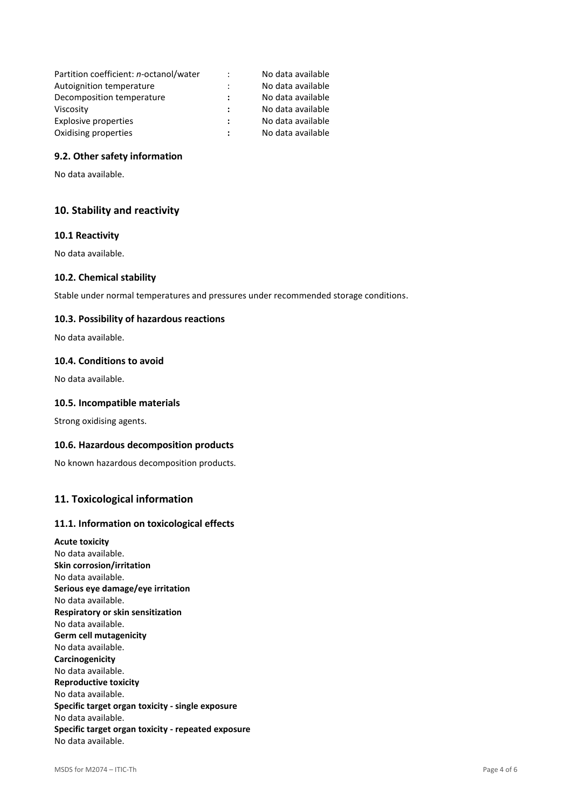| Partition coefficient: n-octanol/water | $\ddot{\cdot}$ | No data available |
|----------------------------------------|----------------|-------------------|
| Autoignition temperature               |                | No data available |
| Decomposition temperature              |                | No data available |
| Viscosity                              |                | No data available |
| Explosive properties                   | ÷              | No data available |
| Oxidising properties                   |                | No data available |

## **9.2. Other safety information**

No data available.

# **10. Stability and reactivity**

## **10.1 Reactivity**

No data available.

#### **10.2. Chemical stability**

Stable under normal temperatures and pressures under recommended storage conditions.

#### **10.3. Possibility of hazardous reactions**

No data available.

## **10.4. Conditions to avoid**

No data available.

#### **10.5. Incompatible materials**

Strong oxidising agents.

#### **10.6. Hazardous decomposition products**

No known hazardous decomposition products.

## **11. Toxicological information**

#### **11.1. Information on toxicological effects**

**Acute toxicity** No data available. **Skin corrosion/irritation** No data available. **Serious eye damage/eye irritation** No data available. **Respiratory or skin sensitization** No data available. **Germ cell mutagenicity** No data available. **Carcinogenicity** No data available. **Reproductive toxicity** No data available. **Specific target organ toxicity - single exposure** No data available. **Specific target organ toxicity - repeated exposure** No data available.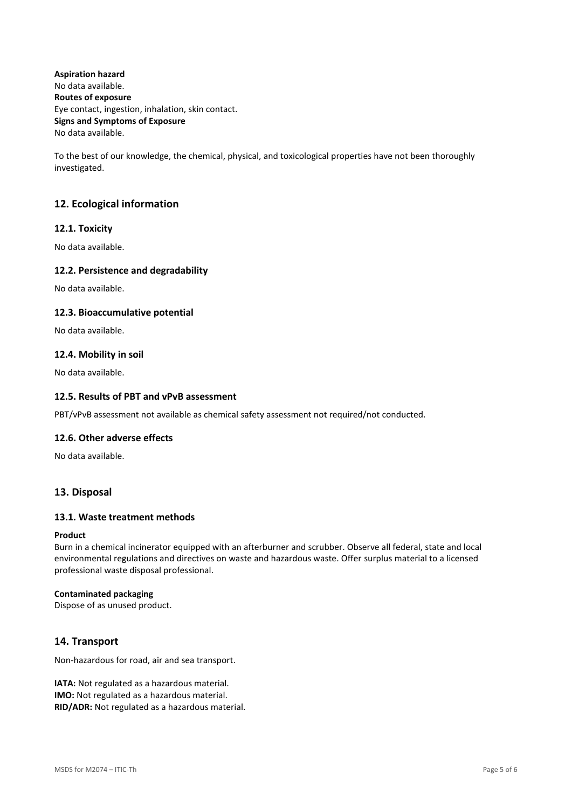**Aspiration hazard** No data available. **Routes of exposure** Eye contact, ingestion, inhalation, skin contact. **Signs and Symptoms of Exposure** No data available.

To the best of our knowledge, the chemical, physical, and toxicological properties have not been thoroughly investigated.

# **12. Ecological information**

## **12.1. Toxicity**

No data available.

## **12.2. Persistence and degradability**

No data available.

## **12.3. Bioaccumulative potential**

No data available.

## **12.4. Mobility in soil**

No data available.

## **12.5. Results of PBT and vPvB assessment**

PBT/vPvB assessment not available as chemical safety assessment not required/not conducted.

## **12.6. Other adverse effects**

No data available.

# **13. Disposal**

## **13.1. Waste treatment methods**

## **Product**

Burn in a chemical incinerator equipped with an afterburner and scrubber. Observe all federal, state and local environmental regulations and directives on waste and hazardous waste. Offer surplus material to a licensed professional waste disposal professional.

#### **Contaminated packaging**

Dispose of as unused product.

# **14. Transport**

Non-hazardous for road, air and sea transport.

**IATA:** Not regulated as a hazardous material. **IMO:** Not regulated as a hazardous material. **RID/ADR:** Not regulated as a hazardous material.